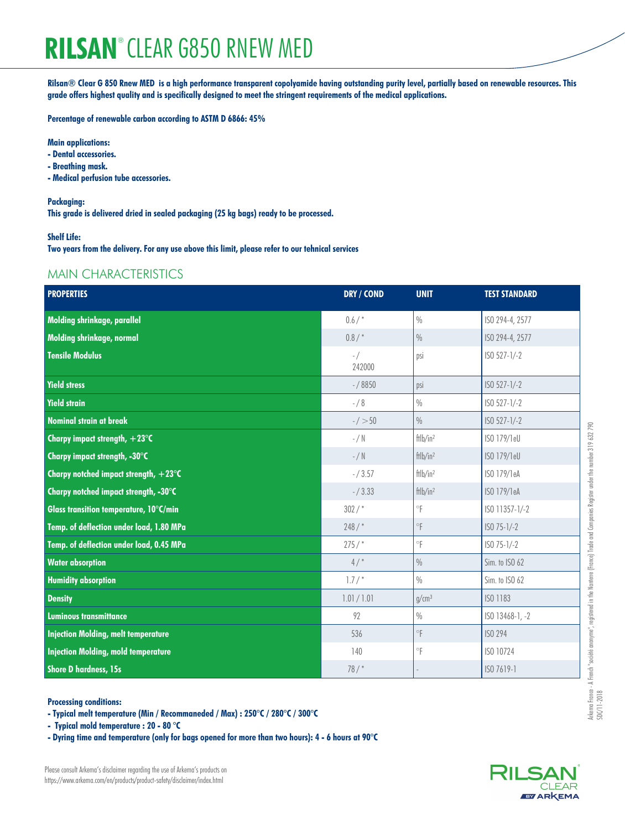# **RILSAN**® **CLEAR G850 RNEW MED**

**Rilsan® Clear G 850 Rnew MED is a high performance transparent copolyamide having outstanding purity level, partially based on renewable resources. This grade offers highest quality and is specifically designed to meet the stringent requirements of the medical applications.**

**Percentage of renewable carbon according to ASTM D 6866: 45%**

# **Main applications:**

- **Dental accessories.**
- **Breathing mask.**
- **Medical perfusion tube accessories.**

### **Packaging:**

**This grade is delivered dried in sealed packaging (25 kg bags) ready to be processed.**

## **Shelf Life:**

**Two years from the delivery. For any use above this limit, please refer to our tehnical services**

# MAIN CHARACTERISTICS

| <b>PROPERTIES</b>                               | DRY / COND        | <b>UNIT</b>             | <b>TEST STANDARD</b> |
|-------------------------------------------------|-------------------|-------------------------|----------------------|
| Molding shrinkage, parallel                     | 0.6/              | $\%$                    | ISO 294-4, 2577      |
| Molding shrinkage, normal                       | $0.8/$ *          | $\frac{0}{0}$           | ISO 294-4, 2577      |
| <b>Tensile Modulus</b>                          | $-$ /<br>242000   | psi                     | ISO 527-1/-2         |
| <b>Yield stress</b>                             | $- / 8850$        | psi                     | ISO 527-1/-2         |
| <b>Yield strain</b>                             | $- / 8$           | $\%$                    | ISO 527-1/-2         |
| <b>Nominal strain at break</b>                  | $-/-50$           | $\frac{0}{0}$           | ISO 527-1/-2         |
| Charpy impact strength, $+23^{\circ}$ C         | $-$ / N           | $f$ tlb/in <sup>2</sup> | ISO 179/1eU          |
| Charpy impact strength, -30°C                   | $-$ / $\mathbb N$ | $f$ tlb/in <sup>2</sup> | ISO 179/1eU          |
| Charpy notched impact strength, $+23^{\circ}$ C | $- / 3.57$        | $f$ tlb/in <sup>2</sup> | ISO 179/1eA          |
| Charpy notched impact strength, -30°C           | $- / 3.33$        | $f$ tlb/in <sup>2</sup> | ISO 179/1eA          |
| Glass transition temperature, 10°C/min          | $302/$ *          | $^\circ \mathsf{F}$     | ISO 11357-1/-2       |
| Temp. of deflection under load, 1.80 MPa        | 248/              | $^{\circ}\!{\mathsf F}$ | $ISO 75-1/-2$        |
| Temp. of deflection under load, 0.45 MPa        | 275/              | $^\circ \mathsf{F}$     | $ISO 75-1/-2$        |
| <b>Water absorption</b>                         | 4/                | $\%$                    | Sim. to ISO 62       |
| <b>Humidity absorption</b>                      | $1.7/$ *          | $\frac{0}{0}$           | Sim. to ISO 62       |
| <b>Density</b>                                  | 1.01 / 1.01       | g/cm <sup>3</sup>       | ISO 1183             |
| <b>Luminous transmittance</b>                   | 92                | $\frac{0}{0}$           | ISO 13468-1, -2      |
| <b>Injection Molding, melt temperature</b>      | 536               | $\circ$                 | <b>ISO 294</b>       |
| <b>Injection Molding, mold temperature</b>      | 140               | $^\circ \mathsf{F}$     | ISO 10724            |
| <b>Shore D hardness, 15s</b>                    | 78/               |                         | ISO 7619-1           |

#### **Processing conditions:**

**- Typical melt temperature (Min / Recommaneded / Max) : 250°C / 280°C / 300°C**

**- Typical mold temperature : 20 - 80 °C**

**- Dyring time and temperature (only for bags opened for more than two hours): 4 - 6 hours at 90°C**